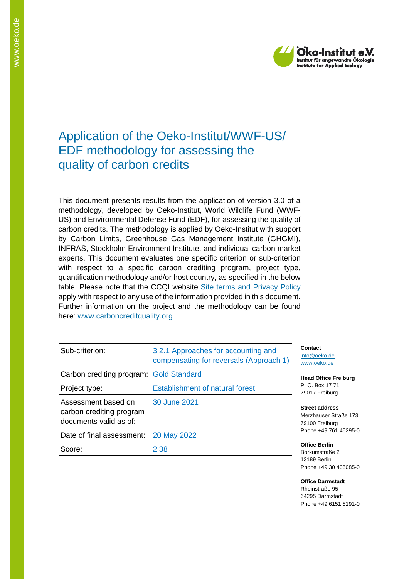

# Application of the Oeko-Institut/WWF-US/ EDF methodology for assessing the quality of carbon credits

This document presents results from the application of version 3.0 of a methodology, developed by Oeko-Institut, World Wildlife Fund (WWF-US) and Environmental Defense Fund (EDF), for assessing the quality of carbon credits. The methodology is applied by Oeko-Institut with support by Carbon Limits, Greenhouse Gas Management Institute (GHGMI), INFRAS, Stockholm Environment Institute, and individual carbon market experts. This document evaluates one specific criterion or sub-criterion with respect to a specific carbon crediting program, project type, quantification methodology and/or host country, as specified in the below table. Please note that the CCQI website [Site terms and Privacy Policy](https://carboncreditquality.org/terms.html) apply with respect to any use of the information provided in this document. Further information on the project and the methodology can be found here: [www.carboncreditquality.org](http://www.carboncreditquality.org/)

| Sub-criterion:                                                            | 3.2.1 Approaches for accounting and<br>compensating for reversals (Approach 1) |
|---------------------------------------------------------------------------|--------------------------------------------------------------------------------|
| Carbon crediting program: Gold Standard                                   |                                                                                |
| Project type:                                                             | <b>Establishment of natural forest</b>                                         |
| Assessment based on<br>carbon crediting program<br>documents valid as of: | 30 June 2021                                                                   |
| Date of final assessment:                                                 | 20 May 2022                                                                    |
| Score:                                                                    | 2.38                                                                           |

**Contact** [info@oeko.de](mailto:info@oeko.de) [www.oeko.de](http://www.oeko.de/)

**Head Office Freiburg** P. O. Box 17 71 79017 Freiburg

**Street address** Merzhauser Straße 173 79100 Freiburg Phone +49 761 45295-0

**Office Berlin** Borkumstraße 2 13189 Berlin Phone +49 30 405085-0

**Office Darmstadt** Rheinstraße 95 64295 Darmstadt Phone +49 6151 8191-0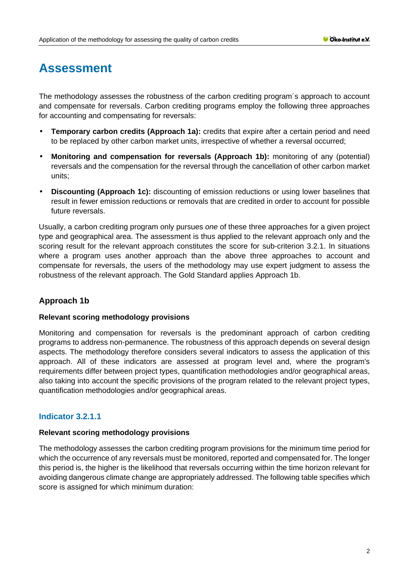# **Assessment**

The methodology assesses the robustness of the carbon crediting program´s approach to account and compensate for reversals. Carbon crediting programs employ the following three approaches for accounting and compensating for reversals:

- **Temporary carbon credits (Approach 1a):** credits that expire after a certain period and need to be replaced by other carbon market units, irrespective of whether a reversal occurred;
- **Monitoring and compensation for reversals (Approach 1b):** monitoring of any (potential) reversals and the compensation for the reversal through the cancellation of other carbon market units;
- **Discounting (Approach 1c):** discounting of emission reductions or using lower baselines that result in fewer emission reductions or removals that are credited in order to account for possible future reversals.

Usually, a carbon crediting program only pursues *one* of these three approaches for a given project type and geographical area. The assessment is thus applied to the relevant approach only and the scoring result for the relevant approach constitutes the score for sub-criterion 3.2.1. In situations where a program uses another approach than the above three approaches to account and compensate for reversals, the users of the methodology may use expert judgment to assess the robustness of the relevant approach. The Gold Standard applies Approach 1b.

# **Approach 1b**

# **Relevant scoring methodology provisions**

Monitoring and compensation for reversals is the predominant approach of carbon crediting programs to address non-permanence. The robustness of this approach depends on several design aspects. The methodology therefore considers several indicators to assess the application of this approach. All of these indicators are assessed at program level and, where the program's requirements differ between project types, quantification methodologies and/or geographical areas, also taking into account the specific provisions of the program related to the relevant project types, quantification methodologies and/or geographical areas.

# **Indicator 3.2.1.1**

# **Relevant scoring methodology provisions**

The methodology assesses the carbon crediting program provisions for the minimum time period for which the occurrence of any reversals must be monitored, reported and compensated for. The longer this period is, the higher is the likelihood that reversals occurring within the time horizon relevant for avoiding dangerous climate change are appropriately addressed. The following table specifies which score is assigned for which minimum duration: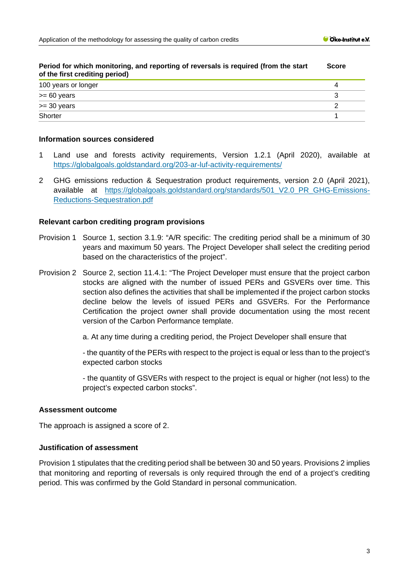| Period for which monitoring, and reporting of reversals is required (from the start<br>of the first crediting period) |  |
|-----------------------------------------------------------------------------------------------------------------------|--|
| 100 years or longer                                                                                                   |  |
| $>= 60$ years                                                                                                         |  |
| $>=$ 30 years                                                                                                         |  |
| Shorter                                                                                                               |  |

#### **Period for which monitoring, and reporting of reversals is required (from the start Score**

#### **Information sources considered**

- 1 Land use and forests activity requirements, Version 1.2.1 (April 2020), available at <https://globalgoals.goldstandard.org/203-ar-luf-activity-requirements/>
- 2 GHG emissions reduction & Sequestration product requirements, version 2.0 (April 2021), available at [https://globalgoals.goldstandard.org/standards/501\\_V2.0\\_PR\\_GHG-Emissions-](https://globalgoals.goldstandard.org/standards/501_V2.0_PR_GHG-Emissions-Reductions-Sequestration.pdf)[Reductions-Sequestration.pdf](https://globalgoals.goldstandard.org/standards/501_V2.0_PR_GHG-Emissions-Reductions-Sequestration.pdf)

#### **Relevant carbon crediting program provisions**

- Provision 1 Source 1, section 3.1.9: "A/R specific: The crediting period shall be a minimum of 30 years and maximum 50 years. The Project Developer shall select the crediting period based on the characteristics of the project".
- Provision 2 Source 2, section 11.4.1: "The Project Developer must ensure that the project carbon stocks are aligned with the number of issued PERs and GSVERs over time. This section also defines the activities that shall be implemented if the project carbon stocks decline below the levels of issued PERs and GSVERs. For the Performance Certification the project owner shall provide documentation using the most recent version of the Carbon Performance template.
	- a. At any time during a crediting period, the Project Developer shall ensure that

- the quantity of the PERs with respect to the project is equal or less than to the project's expected carbon stocks

- the quantity of GSVERs with respect to the project is equal or higher (not less) to the project's expected carbon stocks".

#### **Assessment outcome**

The approach is assigned a score of 2.

## **Justification of assessment**

Provision 1 stipulates that the crediting period shall be between 30 and 50 years. Provisions 2 implies that monitoring and reporting of reversals is only required through the end of a project's crediting period. This was confirmed by the Gold Standard in personal communication.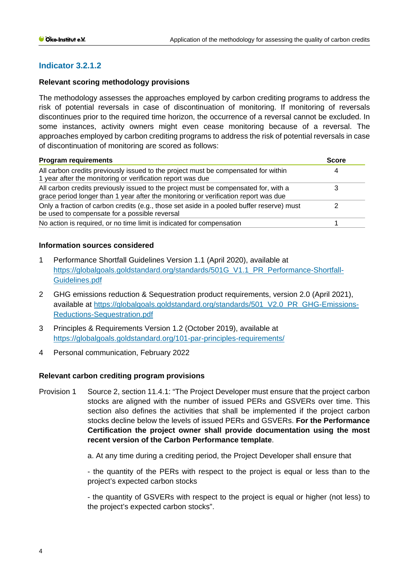# **Indicator 3.2.1.2**

#### **Relevant scoring methodology provisions**

The methodology assesses the approaches employed by carbon crediting programs to address the risk of potential reversals in case of discontinuation of monitoring. If monitoring of reversals discontinues prior to the required time horizon, the occurrence of a reversal cannot be excluded. In some instances, activity owners might even cease monitoring because of a reversal. The approaches employed by carbon crediting programs to address the risk of potential reversals in case of discontinuation of monitoring are scored as follows:

| <b>Program requirements</b>                                                                                                                                                | <b>Score</b> |  |
|----------------------------------------------------------------------------------------------------------------------------------------------------------------------------|--------------|--|
| All carbon credits previously issued to the project must be compensated for within<br>1 year after the monitoring or verification report was due                           | 4            |  |
| All carbon credits previously issued to the project must be compensated for, with a<br>grace period longer than 1 year after the monitoring or verification report was due |              |  |
| Only a fraction of carbon credits (e.g., those set aside in a pooled buffer reserve) must<br>be used to compensate for a possible reversal                                 |              |  |
| No action is required, or no time limit is indicated for compensation                                                                                                      |              |  |

#### **Information sources considered**

- 1 Performance Shortfall Guidelines Version 1.1 (April 2020), available at [https://globalgoals.goldstandard.org/standards/501G\\_V1.1\\_PR\\_Performance-Shortfall-](https://globalgoals.goldstandard.org/standards/501G_V1.1_PR_Performance-Shortfall-Guidelines.pdf)[Guidelines.pdf](https://globalgoals.goldstandard.org/standards/501G_V1.1_PR_Performance-Shortfall-Guidelines.pdf)
- 2 GHG emissions reduction & Sequestration product requirements, version 2.0 (April 2021), available at [https://globalgoals.goldstandard.org/standards/501\\_V2.0\\_PR\\_GHG-Emissions-](https://globalgoals.goldstandard.org/standards/501_V2.0_PR_GHG-Emissions-Reductions-Sequestration.pdf)[Reductions-Sequestration.pdf](https://globalgoals.goldstandard.org/standards/501_V2.0_PR_GHG-Emissions-Reductions-Sequestration.pdf)
- 3 Principles & Requirements Version 1.2 (October 2019), available at <https://globalgoals.goldstandard.org/101-par-principles-requirements/>
- 4 Personal communication, February 2022

# **Relevant carbon crediting program provisions**

- Provision 1 Source 2, section 11.4.1: "The Project Developer must ensure that the project carbon stocks are aligned with the number of issued PERs and GSVERs over time. This section also defines the activities that shall be implemented if the project carbon stocks decline below the levels of issued PERs and GSVERs. **For the Performance Certification the project owner shall provide documentation using the most recent version of the Carbon Performance template**.
	- a. At any time during a crediting period, the Project Developer shall ensure that

- the quantity of the PERs with respect to the project is equal or less than to the project's expected carbon stocks

- the quantity of GSVERs with respect to the project is equal or higher (not less) to the project's expected carbon stocks".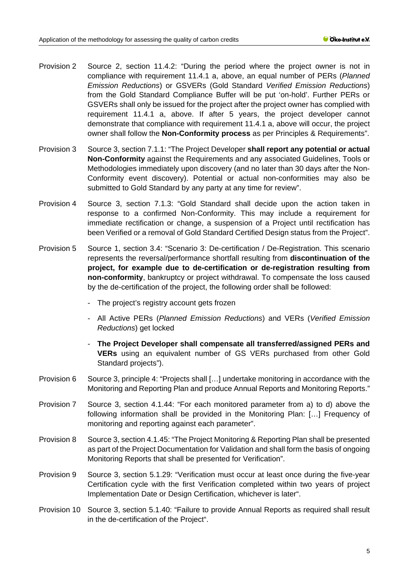- Provision 2 Source 2, section 11.4.2: "During the period where the project owner is not in compliance with requirement 11.4.1 a, above, an equal number of PERs (*Planned Emission Reductions*) or GSVERs (Gold Standard *Verified Emission Reductions*) from the Gold Standard Compliance Buffer will be put 'on-hold'. Further PERs or GSVERs shall only be issued for the project after the project owner has complied with requirement 11.4.1 a, above. If after 5 years, the project developer cannot demonstrate that compliance with requirement 11.4.1 a, above will occur, the project owner shall follow the **Non-Conformity process** as per Principles & Requirements".
- Provision 3 Source 3, section 7.1.1: "The Project Developer **shall report any potential or actual Non-Conformity** against the Requirements and any associated Guidelines, Tools or Methodologies immediately upon discovery (and no later than 30 days after the Non-Conformity event discovery). Potential or actual non-conformities may also be submitted to Gold Standard by any party at any time for review".
- Provision 4 Source 3, section 7.1.3: "Gold Standard shall decide upon the action taken in response to a confirmed Non-Conformity. This may include a requirement for immediate rectification or change, a suspension of a Project until rectification has been Verified or a removal of Gold Standard Certified Design status from the Project".
- Provision 5 Source 1, section 3.4: "Scenario 3: De-certification / De-Registration. This scenario represents the reversal/performance shortfall resulting from **discontinuation of the project, for example due to de-certification or de-registration resulting from non-conformity**, bankruptcy or project withdrawal. To compensate the loss caused by the de-certification of the project, the following order shall be followed:
	- The project's registry account gets frozen
	- All Active PERs (*Planned Emission Reductions*) and VERs (*Verified Emission Reductions*) get locked
	- **The Project Developer shall compensate all transferred/assigned PERs and VERs** using an equivalent number of GS VERs purchased from other Gold Standard projects").
- Provision 6 Source 3, principle 4: "Projects shall [...] undertake monitoring in accordance with the Monitoring and Reporting Plan and produce Annual Reports and Monitoring Reports."
- Provision 7 Source 3, section 4.1.44: "For each monitored parameter from a) to d) above the following information shall be provided in the Monitoring Plan: […] Frequency of monitoring and reporting against each parameter".
- Provision 8 Source 3, section 4.1.45: "The Project Monitoring & Reporting Plan shall be presented as part of the Project Documentation for Validation and shall form the basis of ongoing Monitoring Reports that shall be presented for Verification".
- Provision 9 Source 3, section 5.1.29: "Verification must occur at least once during the five-year Certification cycle with the first Verification completed within two years of project Implementation Date or Design Certification, whichever is later".
- Provision 10 Source 3, section 5.1.40: "Failure to provide Annual Reports as required shall result in the de-certification of the Project".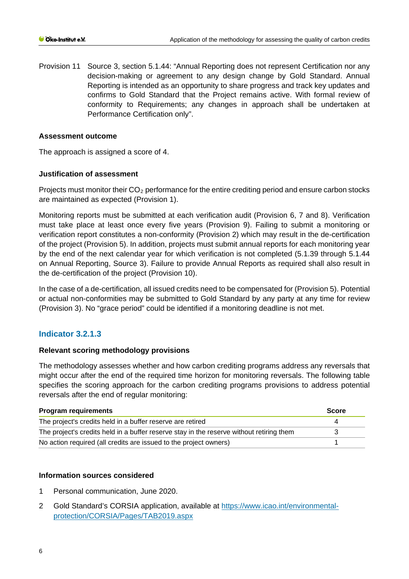Provision 11 Source 3, section 5.1.44: "Annual Reporting does not represent Certification nor any decision-making or agreement to any design change by Gold Standard. Annual Reporting is intended as an opportunity to share progress and track key updates and confirms to Gold Standard that the Project remains active. With formal review of conformity to Requirements; any changes in approach shall be undertaken at Performance Certification only".

#### **Assessment outcome**

The approach is assigned a score of 4.

# **Justification of assessment**

Projects must monitor their  $CO<sub>2</sub>$  performance for the entire crediting period and ensure carbon stocks are maintained as expected (Provision 1).

Monitoring reports must be submitted at each verification audit (Provision 6, 7 and 8). Verification must take place at least once every five years (Provision 9). Failing to submit a monitoring or verification report constitutes a non-conformity (Provision 2) which may result in the de-certification of the project (Provision 5). In addition, projects must submit annual reports for each monitoring year by the end of the next calendar year for which verification is not completed (5.1.39 through 5.1.44 on Annual Reporting, Source 3). Failure to provide Annual Reports as required shall also result in the de-certification of the project (Provision 10).

In the case of a de-certification, all issued credits need to be compensated for (Provision 5). Potential or actual non-conformities may be submitted to Gold Standard by any party at any time for review (Provision 3). No "grace period" could be identified if a monitoring deadline is not met.

# **Indicator 3.2.1.3**

# **Relevant scoring methodology provisions**

The methodology assesses whether and how carbon crediting programs address any reversals that might occur after the end of the required time horizon for monitoring reversals. The following table specifies the scoring approach for the carbon crediting programs provisions to address potential reversals after the end of regular monitoring:

| <b>Program requirements</b>                                                              | <b>Score</b> |
|------------------------------------------------------------------------------------------|--------------|
| The project's credits held in a buffer reserve are retired                               |              |
| The project's credits held in a buffer reserve stay in the reserve without retiring them |              |
| No action required (all credits are issued to the project owners)                        |              |

# **Information sources considered**

- 1 Personal communication, June 2020.
- 2 Gold Standard's CORSIA application, available at [https://www.icao.int/environmental](https://www.icao.int/environmental-protection/CORSIA/Pages/TAB2019.aspx)[protection/CORSIA/Pages/TAB2019.aspx](https://www.icao.int/environmental-protection/CORSIA/Pages/TAB2019.aspx)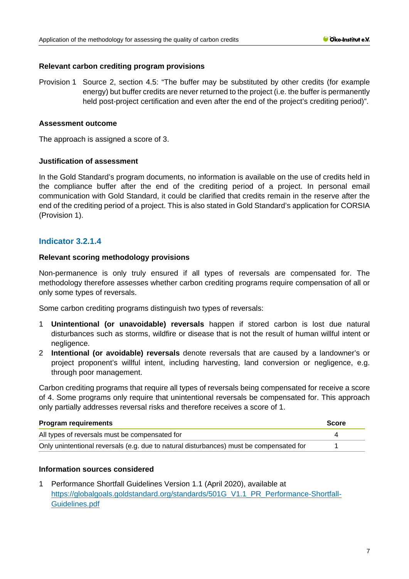## **Relevant carbon crediting program provisions**

Provision 1 Source 2, section 4.5: "The buffer may be substituted by other credits (for example energy) but buffer credits are never returned to the project (i.e. the buffer is permanently held post-project certification and even after the end of the project's crediting period)".

#### **Assessment outcome**

The approach is assigned a score of 3.

#### **Justification of assessment**

In the Gold Standard's program documents, no information is available on the use of credits held in the compliance buffer after the end of the crediting period of a project. In personal email communication with Gold Standard, it could be clarified that credits remain in the reserve after the end of the crediting period of a project. This is also stated in Gold Standard's application for CORSIA (Provision 1).

# **Indicator 3.2.1.4**

#### **Relevant scoring methodology provisions**

Non-permanence is only truly ensured if all types of reversals are compensated for. The methodology therefore assesses whether carbon crediting programs require compensation of all or only some types of reversals.

Some carbon crediting programs distinguish two types of reversals:

- 1 **Unintentional (or unavoidable) reversals** happen if stored carbon is lost due natural disturbances such as storms, wildfire or disease that is not the result of human willful intent or negligence.
- 2 **Intentional (or avoidable) reversals** denote reversals that are caused by a landowner's or project proponent's willful intent, including harvesting, land conversion or negligence, e.g. through poor management.

Carbon crediting programs that require all types of reversals being compensated for receive a score of 4. Some programs only require that unintentional reversals be compensated for. This approach only partially addresses reversal risks and therefore receives a score of 1.

| <b>Program requirements</b>                                                             | <b>Score</b> |
|-----------------------------------------------------------------------------------------|--------------|
| All types of reversals must be compensated for                                          |              |
| Only unintentional reversals (e.g. due to natural disturbances) must be compensated for |              |

# **Information sources considered**

1 Performance Shortfall Guidelines Version 1.1 (April 2020), available at [https://globalgoals.goldstandard.org/standards/501G\\_V1.1\\_PR\\_Performance-Shortfall-](https://globalgoals.goldstandard.org/standards/501G_V1.1_PR_Performance-Shortfall-Guidelines.pdf)[Guidelines.pdf](https://globalgoals.goldstandard.org/standards/501G_V1.1_PR_Performance-Shortfall-Guidelines.pdf)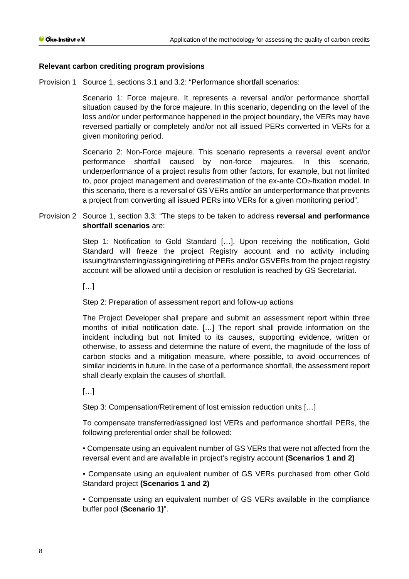## **Relevant carbon crediting program provisions**

Provision 1 Source 1, sections 3.1 and 3.2: "Performance shortfall scenarios:

Scenario 1: Force majeure. It represents a reversal and/or performance shortfall situation caused by the force majeure. In this scenario, depending on the level of the loss and/or under performance happened in the project boundary, the VERs may have reversed partially or completely and/or not all issued PERs converted in VERs for a given monitoring period.

Scenario 2: Non-Force majeure. This scenario represents a reversal event and/or performance shortfall caused by non-force majeures. In this scenario, underperformance of a project results from other factors, for example, but not limited to, poor project management and overestimation of the ex-ante CO2-fixation model. In this scenario, there is a reversal of GS VERs and/or an underperformance that prevents a project from converting all issued PERs into VERs for a given monitoring period".

Provision 2 Source 1, section 3.3: "The steps to be taken to address **reversal and performance shortfall scenarios** are:

> Step 1: Notification to Gold Standard […]. Upon receiving the notification, Gold Standard will freeze the project Registry account and no activity including issuing/transferring/assigning/retiring of PERs and/or GSVERs from the project registry account will be allowed until a decision or resolution is reached by GS Secretariat.

 $\left[\ldots\right]$ 

# Step 2: Preparation of assessment report and follow-up actions

The Project Developer shall prepare and submit an assessment report within three months of initial notification date. […] The report shall provide information on the incident including but not limited to its causes, supporting evidence, written or otherwise, to assess and determine the nature of event, the magnitude of the loss of carbon stocks and a mitigation measure, where possible, to avoid occurrences of similar incidents in future. In the case of a performance shortfall, the assessment report shall clearly explain the causes of shortfall.

 $\left[\ldots\right]$ 

Step 3: Compensation/Retirement of lost emission reduction units […]

To compensate transferred/assigned lost VERs and performance shortfall PERs, the following preferential order shall be followed:

• Compensate using an equivalent number of GS VERs that were not affected from the reversal event and are available in project's registry account **(Scenarios 1 and 2)** 

• Compensate using an equivalent number of GS VERs purchased from other Gold Standard project **(Scenarios 1 and 2)** 

• Compensate using an equivalent number of GS VERs available in the compliance buffer pool (**Scenario 1)**".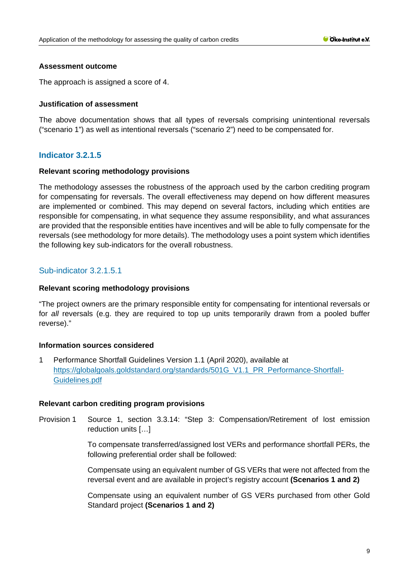#### **Assessment outcome**

The approach is assigned a score of 4.

## **Justification of assessment**

The above documentation shows that all types of reversals comprising unintentional reversals ("scenario 1") as well as intentional reversals ("scenario 2") need to be compensated for.

# **Indicator 3.2.1.5**

#### **Relevant scoring methodology provisions**

The methodology assesses the robustness of the approach used by the carbon crediting program for compensating for reversals. The overall effectiveness may depend on how different measures are implemented or combined. This may depend on several factors, including which entities are responsible for compensating, in what sequence they assume responsibility, and what assurances are provided that the responsible entities have incentives and will be able to fully compensate for the reversals (see methodology for more details). The methodology uses a point system which identifies the following key sub-indicators for the overall robustness.

# Sub-indicator 3.2.1.5.1

#### **Relevant scoring methodology provisions**

"The project owners are the primary responsible entity for compensating for intentional reversals or for *all* reversals (e.g. they are required to top up units temporarily drawn from a pooled buffer reverse)."

# **Information sources considered**

1 Performance Shortfall Guidelines Version 1.1 (April 2020), available at [https://globalgoals.goldstandard.org/standards/501G\\_V1.1\\_PR\\_Performance-Shortfall-](https://globalgoals.goldstandard.org/standards/501G_V1.1_PR_Performance-Shortfall-Guidelines.pdf)[Guidelines.pdf](https://globalgoals.goldstandard.org/standards/501G_V1.1_PR_Performance-Shortfall-Guidelines.pdf)

#### **Relevant carbon crediting program provisions**

Provision 1 Source 1, section 3.3.14: "Step 3: Compensation/Retirement of lost emission reduction units […]

> To compensate transferred/assigned lost VERs and performance shortfall PERs, the following preferential order shall be followed:

> Compensate using an equivalent number of GS VERs that were not affected from the reversal event and are available in project's registry account **(Scenarios 1 and 2)**

> Compensate using an equivalent number of GS VERs purchased from other Gold Standard project **(Scenarios 1 and 2)**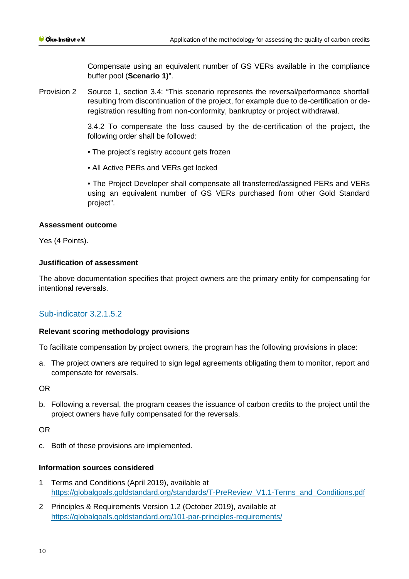Compensate using an equivalent number of GS VERs available in the compliance buffer pool (**Scenario 1)**".

Provision 2 Source 1, section 3.4: "This scenario represents the reversal/performance shortfall resulting from discontinuation of the project, for example due to de-certification or deregistration resulting from non-conformity, bankruptcy or project withdrawal.

> 3.4.2 To compensate the loss caused by the de-certification of the project, the following order shall be followed:

- The project's registry account gets frozen
- All Active PERs and VERs get locked

• The Project Developer shall compensate all transferred/assigned PERs and VERs using an equivalent number of GS VERs purchased from other Gold Standard project".

# **Assessment outcome**

Yes (4 Points).

# **Justification of assessment**

The above documentation specifies that project owners are the primary entity for compensating for intentional reversals.

# Sub-indicator 3.2.1.5.2

# **Relevant scoring methodology provisions**

To facilitate compensation by project owners, the program has the following provisions in place:

a. The project owners are required to sign legal agreements obligating them to monitor, report and compensate for reversals.

OR

b. Following a reversal, the program ceases the issuance of carbon credits to the project until the project owners have fully compensated for the reversals.

OR

c. Both of these provisions are implemented.

# **Information sources considered**

- 1 Terms and Conditions (April 2019), available at [https://globalgoals.goldstandard.org/standards/T-PreReview\\_V1.1-Terms\\_and\\_Conditions.pdf](https://globalgoals.goldstandard.org/standards/T-PreReview_V1.1-Terms_and_Conditions.pdf)
- 2 Principles & Requirements Version 1.2 (October 2019), available at <https://globalgoals.goldstandard.org/101-par-principles-requirements/>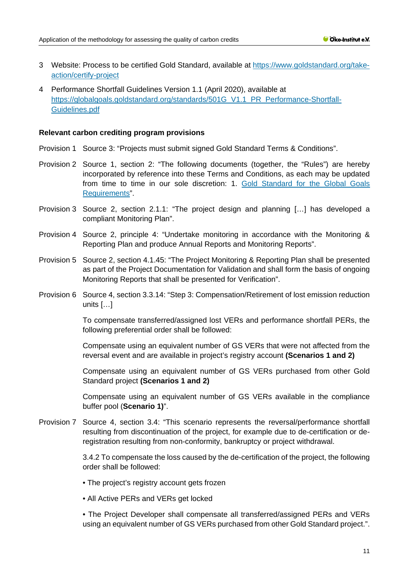- 3 Website: Process to be certified Gold Standard, available at [https://www.goldstandard.org/take](https://www.goldstandard.org/take-action/certify-project)[action/certify-project](https://www.goldstandard.org/take-action/certify-project)
- 4 Performance Shortfall Guidelines Version 1.1 (April 2020), available at [https://globalgoals.goldstandard.org/standards/501G\\_V1.1\\_PR\\_Performance-Shortfall-](https://globalgoals.goldstandard.org/standards/501G_V1.1_PR_Performance-Shortfall-Guidelines.pdf)[Guidelines.pdf](https://globalgoals.goldstandard.org/standards/501G_V1.1_PR_Performance-Shortfall-Guidelines.pdf)

#### **Relevant carbon crediting program provisions**

- Provision 1 Source 3: "Projects must submit signed Gold Standard Terms & Conditions".
- Provision 2 Source 1, section 2: "The following documents (together, the "Rules") are hereby incorporated by reference into these Terms and Conditions, as each may be updated from time to time in our sole discretion: 1. [Gold Standard for the Global Goals](https://www.goldstandard.org/project-developers/standard-documents)  [Requirements"](https://www.goldstandard.org/project-developers/standard-documents).
- Provision 3 Source 2, section 2.1.1: "The project design and planning […] has developed a compliant Monitoring Plan".
- Provision 4 Source 2, principle 4: "Undertake monitoring in accordance with the Monitoring & Reporting Plan and produce Annual Reports and Monitoring Reports".
- Provision 5 Source 2, section 4.1.45: "The Project Monitoring & Reporting Plan shall be presented as part of the Project Documentation for Validation and shall form the basis of ongoing Monitoring Reports that shall be presented for Verification".
- Provision 6 Source 4, section 3.3.14: "Step 3: Compensation/Retirement of lost emission reduction units […]

To compensate transferred/assigned lost VERs and performance shortfall PERs, the following preferential order shall be followed:

Compensate using an equivalent number of GS VERs that were not affected from the reversal event and are available in project's registry account **(Scenarios 1 and 2)** 

Compensate using an equivalent number of GS VERs purchased from other Gold Standard project **(Scenarios 1 and 2)** 

Compensate using an equivalent number of GS VERs available in the compliance buffer pool (**Scenario 1)**".

Provision 7 Source 4, section 3.4: "This scenario represents the reversal/performance shortfall resulting from discontinuation of the project, for example due to de-certification or deregistration resulting from non-conformity, bankruptcy or project withdrawal.

> 3.4.2 To compensate the loss caused by the de-certification of the project, the following order shall be followed:

- The project's registry account gets frozen
- All Active PERs and VERs get locked

• The Project Developer shall compensate all transferred/assigned PERs and VERs using an equivalent number of GS VERs purchased from other Gold Standard project.".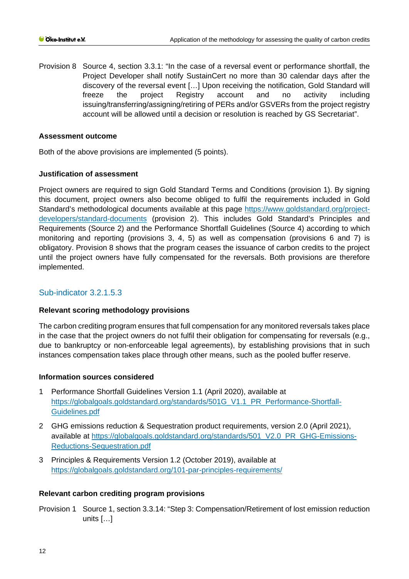Provision 8 Source 4, section 3.3.1: "In the case of a reversal event or performance shortfall, the Project Developer shall notify SustainCert no more than 30 calendar days after the discovery of the reversal event […] Upon receiving the notification, Gold Standard will freeze the project Registry account and no activity including issuing/transferring/assigning/retiring of PERs and/or GSVERs from the project registry account will be allowed until a decision or resolution is reached by GS Secretariat".

## **Assessment outcome**

Both of the above provisions are implemented (5 points).

# **Justification of assessment**

Project owners are required to sign Gold Standard Terms and Conditions (provision 1). By signing this document, project owners also become obliged to fulfil the requirements included in Gold Standard's methodological documents available at this page [https://www.goldstandard.org/project](https://www.goldstandard.org/project-developers/standard-documents)[developers/standard-documents](https://www.goldstandard.org/project-developers/standard-documents) (provision 2). This includes Gold Standard's Principles and Requirements (Source 2) and the Performance Shortfall Guidelines (Source 4) according to which monitoring and reporting (provisions 3, 4, 5) as well as compensation (provisions 6 and 7) is obligatory. Provision 8 shows that the program ceases the issuance of carbon credits to the project until the project owners have fully compensated for the reversals. Both provisions are therefore implemented.

# Sub-indicator 3.2.1.5.3

# **Relevant scoring methodology provisions**

The carbon crediting program ensures that full compensation for any monitored reversals takes place in the case that the project owners do not fulfil their obligation for compensating for reversals (e.g., due to bankruptcy or non-enforceable legal agreements), by establishing provisions that in such instances compensation takes place through other means, such as the pooled buffer reserve.

#### **Information sources considered**

- 1 Performance Shortfall Guidelines Version 1.1 (April 2020), available at [https://globalgoals.goldstandard.org/standards/501G\\_V1.1\\_PR\\_Performance-Shortfall-](https://globalgoals.goldstandard.org/standards/501G_V1.1_PR_Performance-Shortfall-Guidelines.pdf)[Guidelines.pdf](https://globalgoals.goldstandard.org/standards/501G_V1.1_PR_Performance-Shortfall-Guidelines.pdf)
- 2 GHG emissions reduction & Sequestration product requirements, version 2.0 (April 2021), available at [https://globalgoals.goldstandard.org/standards/501\\_V2.0\\_PR\\_GHG-Emissions-](https://globalgoals.goldstandard.org/standards/501_V2.0_PR_GHG-Emissions-Reductions-Sequestration.pdf)[Reductions-Sequestration.pdf](https://globalgoals.goldstandard.org/standards/501_V2.0_PR_GHG-Emissions-Reductions-Sequestration.pdf)
- 3 Principles & Requirements Version 1.2 (October 2019), available at <https://globalgoals.goldstandard.org/101-par-principles-requirements/>

# **Relevant carbon crediting program provisions**

Provision 1 Source 1, section 3.3.14: "Step 3: Compensation/Retirement of lost emission reduction units […]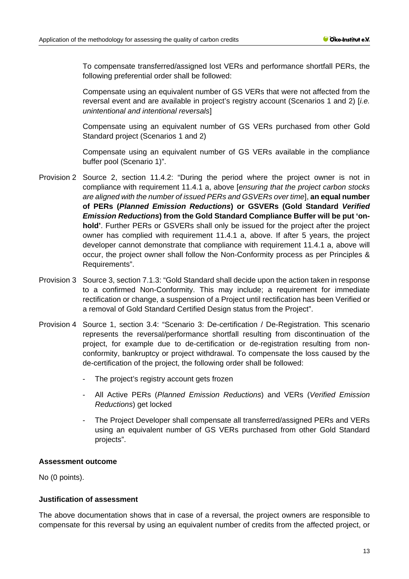To compensate transferred/assigned lost VERs and performance shortfall PERs, the following preferential order shall be followed:

Compensate using an equivalent number of GS VERs that were not affected from the reversal event and are available in project's registry account (Scenarios 1 and 2) [*i.e. unintentional and intentional reversals*]

Compensate using an equivalent number of GS VERs purchased from other Gold Standard project (Scenarios 1 and 2)

Compensate using an equivalent number of GS VERs available in the compliance buffer pool (Scenario 1)".

- Provision 2 Source 2, section 11.4.2: "During the period where the project owner is not in compliance with requirement 11.4.1 a, above [*ensuring that the project carbon stocks are aligned with the number of issued PERs and GSVERs over time*], **an equal number of PERs (***Planned Emission Reductions***) or GSVERs (Gold Standard** *Verified Emission Reductions***) from the Gold Standard Compliance Buffer will be put 'onhold'**. Further PERs or GSVERs shall only be issued for the project after the project owner has complied with requirement 11.4.1 a, above. If after 5 years, the project developer cannot demonstrate that compliance with requirement 11.4.1 a, above will occur, the project owner shall follow the Non-Conformity process as per Principles & Requirements".
- Provision 3 Source 3, section 7.1.3: "Gold Standard shall decide upon the action taken in response to a confirmed Non-Conformity. This may include; a requirement for immediate rectification or change, a suspension of a Project until rectification has been Verified or a removal of Gold Standard Certified Design status from the Project".
- Provision 4 Source 1, section 3.4: "Scenario 3: De-certification / De-Registration. This scenario represents the reversal/performance shortfall resulting from discontinuation of the project, for example due to de-certification or de-registration resulting from nonconformity, bankruptcy or project withdrawal. To compensate the loss caused by the de-certification of the project, the following order shall be followed:
	- The project's registry account gets frozen
	- All Active PERs (*Planned Emission Reductions*) and VERs (*Verified Emission Reductions*) get locked
	- The Project Developer shall compensate all transferred/assigned PERs and VERs using an equivalent number of GS VERs purchased from other Gold Standard projects".

#### **Assessment outcome**

No (0 points).

#### **Justification of assessment**

The above documentation shows that in case of a reversal, the project owners are responsible to compensate for this reversal by using an equivalent number of credits from the affected project, or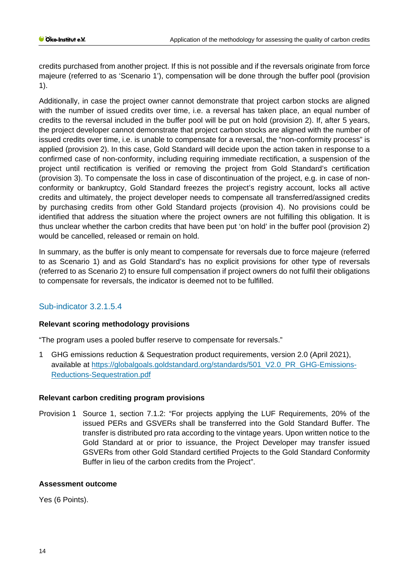credits purchased from another project. If this is not possible and if the reversals originate from force majeure (referred to as 'Scenario 1'), compensation will be done through the buffer pool (provision 1).

Additionally, in case the project owner cannot demonstrate that project carbon stocks are aligned with the number of issued credits over time, i.e. a reversal has taken place, an equal number of credits to the reversal included in the buffer pool will be put on hold (provision 2). If, after 5 years, the project developer cannot demonstrate that project carbon stocks are aligned with the number of issued credits over time, i.e. is unable to compensate for a reversal, the "non-conformity process" is applied (provision 2). In this case, Gold Standard will decide upon the action taken in response to a confirmed case of non-conformity, including requiring immediate rectification, a suspension of the project until rectification is verified or removing the project from Gold Standard's certification (provision 3). To compensate the loss in case of discontinuation of the project, e.g. in case of nonconformity or bankruptcy, Gold Standard freezes the project's registry account, locks all active credits and ultimately, the project developer needs to compensate all transferred/assigned credits by purchasing credits from other Gold Standard projects (provision 4). No provisions could be identified that address the situation where the project owners are not fulfilling this obligation. It is thus unclear whether the carbon credits that have been put 'on hold' in the buffer pool (provision 2) would be cancelled, released or remain on hold.

In summary, as the buffer is only meant to compensate for reversals due to force majeure (referred to as Scenario 1) and as Gold Standard's has no explicit provisions for other type of reversals (referred to as Scenario 2) to ensure full compensation if project owners do not fulfil their obligations to compensate for reversals, the indicator is deemed not to be fulfilled.

# Sub-indicator 3.2.1.5.4

# **Relevant scoring methodology provisions**

"The program uses a pooled buffer reserve to compensate for reversals."

1 GHG emissions reduction & Sequestration product requirements, version 2.0 (April 2021), available at [https://globalgoals.goldstandard.org/standards/501\\_V2.0\\_PR\\_GHG-Emissions-](https://globalgoals.goldstandard.org/standards/501_V2.0_PR_GHG-Emissions-Reductions-Sequestration.pdf)[Reductions-Sequestration.pdf](https://globalgoals.goldstandard.org/standards/501_V2.0_PR_GHG-Emissions-Reductions-Sequestration.pdf)

# **Relevant carbon crediting program provisions**

Provision 1 Source 1, section 7.1.2: "For projects applying the LUF Requirements, 20% of the issued PERs and GSVERs shall be transferred into the Gold Standard Buffer. The transfer is distributed pro rata according to the vintage years. Upon written notice to the Gold Standard at or prior to issuance, the Project Developer may transfer issued GSVERs from other Gold Standard certified Projects to the Gold Standard Conformity Buffer in lieu of the carbon credits from the Project".

# **Assessment outcome**

Yes (6 Points).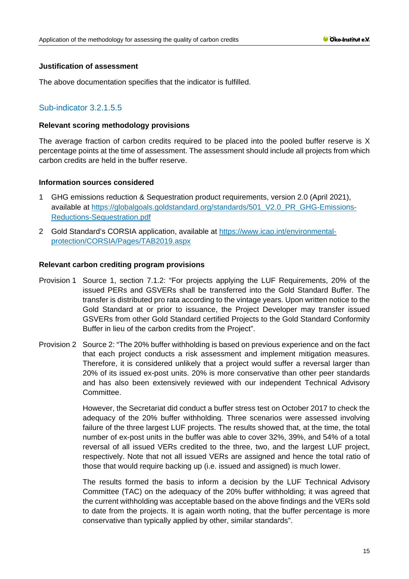## **Justification of assessment**

The above documentation specifies that the indicator is fulfilled.

# Sub-indicator 3.2.1.5.5

#### **Relevant scoring methodology provisions**

The average fraction of carbon credits required to be placed into the pooled buffer reserve is X percentage points at the time of assessment. The assessment should include all projects from which carbon credits are held in the buffer reserve.

#### **Information sources considered**

- 1 GHG emissions reduction & Sequestration product requirements, version 2.0 (April 2021), available at [https://globalgoals.goldstandard.org/standards/501\\_V2.0\\_PR\\_GHG-Emissions-](https://globalgoals.goldstandard.org/standards/501_V2.0_PR_GHG-Emissions-Reductions-Sequestration.pdf)[Reductions-Sequestration.pdf](https://globalgoals.goldstandard.org/standards/501_V2.0_PR_GHG-Emissions-Reductions-Sequestration.pdf)
- 2 Gold Standard's CORSIA application, available at [https://www.icao.int/environmental](https://www.icao.int/environmental-protection/CORSIA/Pages/TAB2019.aspx)[protection/CORSIA/Pages/TAB2019.aspx](https://www.icao.int/environmental-protection/CORSIA/Pages/TAB2019.aspx)

#### **Relevant carbon crediting program provisions**

- Provision 1 Source 1, section 7.1.2: "For projects applying the LUF Requirements, 20% of the issued PERs and GSVERs shall be transferred into the Gold Standard Buffer. The transfer is distributed pro rata according to the vintage years. Upon written notice to the Gold Standard at or prior to issuance, the Project Developer may transfer issued GSVERs from other Gold Standard certified Projects to the Gold Standard Conformity Buffer in lieu of the carbon credits from the Project".
- Provision 2 Source 2: "The 20% buffer withholding is based on previous experience and on the fact that each project conducts a risk assessment and implement mitigation measures. Therefore, it is considered unlikely that a project would suffer a reversal larger than 20% of its issued ex-post units. 20% is more conservative than other peer standards and has also been extensively reviewed with our independent Technical Advisory Committee.

However, the Secretariat did conduct a buffer stress test on October 2017 to check the adequacy of the 20% buffer withholding. Three scenarios were assessed involving failure of the three largest LUF projects. The results showed that, at the time, the total number of ex-post units in the buffer was able to cover 32%, 39%, and 54% of a total reversal of all issued VERs credited to the three, two, and the largest LUF project, respectively. Note that not all issued VERs are assigned and hence the total ratio of those that would require backing up (i.e. issued and assigned) is much lower.

The results formed the basis to inform a decision by the LUF Technical Advisory Committee (TAC) on the adequacy of the 20% buffer withholding; it was agreed that the current withholding was acceptable based on the above findings and the VERs sold to date from the projects. It is again worth noting, that the buffer percentage is more conservative than typically applied by other, similar standards".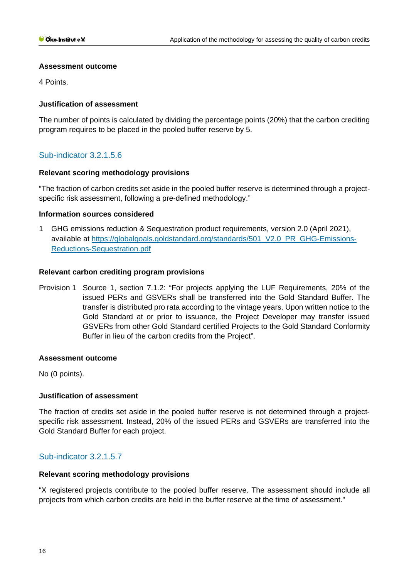#### **Assessment outcome**

4 Points.

# **Justification of assessment**

The number of points is calculated by dividing the percentage points (20%) that the carbon crediting program requires to be placed in the pooled buffer reserve by 5.

# Sub-indicator 3.2.1.5.6

# **Relevant scoring methodology provisions**

"The fraction of carbon credits set aside in the pooled buffer reserve is determined through a projectspecific risk assessment, following a pre-defined methodology."

#### **Information sources considered**

1 GHG emissions reduction & Sequestration product requirements, version 2.0 (April 2021), available at [https://globalgoals.goldstandard.org/standards/501\\_V2.0\\_PR\\_GHG-Emissions-](https://globalgoals.goldstandard.org/standards/501_V2.0_PR_GHG-Emissions-Reductions-Sequestration.pdf)[Reductions-Sequestration.pdf](https://globalgoals.goldstandard.org/standards/501_V2.0_PR_GHG-Emissions-Reductions-Sequestration.pdf)

#### **Relevant carbon crediting program provisions**

Provision 1 Source 1, section 7.1.2: "For projects applying the LUF Requirements, 20% of the issued PERs and GSVERs shall be transferred into the Gold Standard Buffer. The transfer is distributed pro rata according to the vintage years. Upon written notice to the Gold Standard at or prior to issuance, the Project Developer may transfer issued GSVERs from other Gold Standard certified Projects to the Gold Standard Conformity Buffer in lieu of the carbon credits from the Project".

# **Assessment outcome**

No (0 points).

# **Justification of assessment**

The fraction of credits set aside in the pooled buffer reserve is not determined through a projectspecific risk assessment. Instead, 20% of the issued PERs and GSVERs are transferred into the Gold Standard Buffer for each project.

# Sub-indicator 3.2.1.5.7

#### **Relevant scoring methodology provisions**

"X registered projects contribute to the pooled buffer reserve. The assessment should include all projects from which carbon credits are held in the buffer reserve at the time of assessment."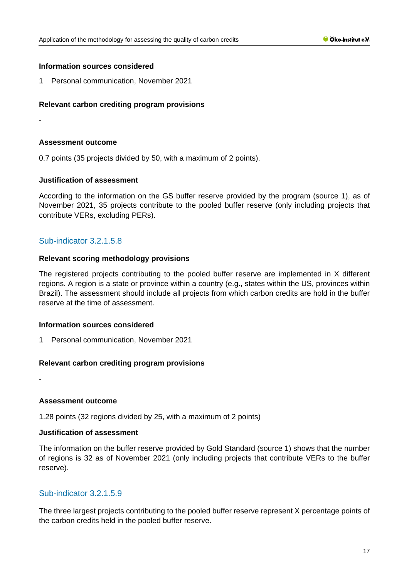#### **Information sources considered**

1 Personal communication, November 2021

# **Relevant carbon crediting program provisions**

-

#### **Assessment outcome**

0.7 points (35 projects divided by 50, with a maximum of 2 points).

#### **Justification of assessment**

According to the information on the GS buffer reserve provided by the program (source 1), as of November 2021, 35 projects contribute to the pooled buffer reserve (only including projects that contribute VERs, excluding PERs).

# Sub-indicator 3.2.1.5.8

#### **Relevant scoring methodology provisions**

The registered projects contributing to the pooled buffer reserve are implemented in X different regions. A region is a state or province within a country (e.g., states within the US, provinces within Brazil). The assessment should include all projects from which carbon credits are hold in the buffer reserve at the time of assessment.

#### **Information sources considered**

1 Personal communication, November 2021

#### **Relevant carbon crediting program provisions**

**Assessment outcome**

-

1.28 points (32 regions divided by 25, with a maximum of 2 points)

#### **Justification of assessment**

The information on the buffer reserve provided by Gold Standard (source 1) shows that the number of regions is 32 as of November 2021 (only including projects that contribute VERs to the buffer reserve).

# Sub-indicator 3.2.1.5.9

The three largest projects contributing to the pooled buffer reserve represent X percentage points of the carbon credits held in the pooled buffer reserve.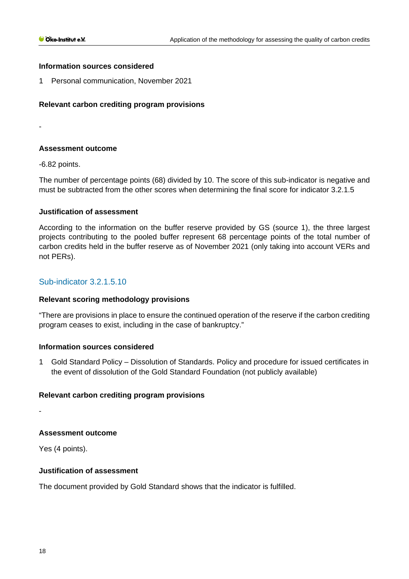#### **Information sources considered**

1 Personal communication, November 2021

## **Relevant carbon crediting program provisions**

-

## **Assessment outcome**

-6.82 points.

The number of percentage points (68) divided by 10. The score of this sub-indicator is negative and must be subtracted from the other scores when determining the final score for indicator 3.2.1.5

#### **Justification of assessment**

According to the information on the buffer reserve provided by GS (source 1), the three largest projects contributing to the pooled buffer represent 68 percentage points of the total number of carbon credits held in the buffer reserve as of November 2021 (only taking into account VERs and not PERs).

# Sub-indicator 3.2.1.5.10

#### **Relevant scoring methodology provisions**

"There are provisions in place to ensure the continued operation of the reserve if the carbon crediting program ceases to exist, including in the case of bankruptcy."

#### **Information sources considered**

1 Gold Standard Policy – Dissolution of Standards. Policy and procedure for issued certificates in the event of dissolution of the Gold Standard Foundation (not publicly available)

#### **Relevant carbon crediting program provisions**

-

# **Assessment outcome**

Yes (4 points).

# **Justification of assessment**

The document provided by Gold Standard shows that the indicator is fulfilled.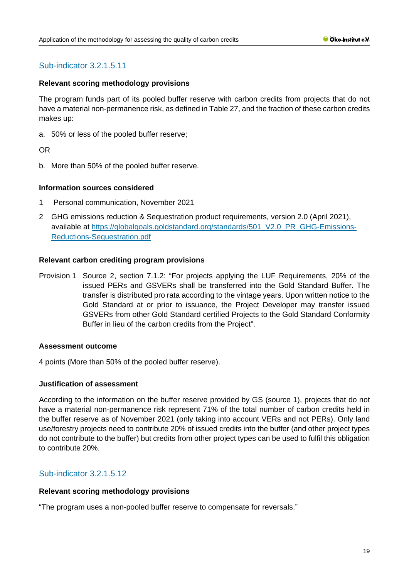# Sub-indicator 3.2.1.5.11

## **Relevant scoring methodology provisions**

The program funds part of its pooled buffer reserve with carbon credits from projects that do not have a material non-permanence risk, as defined in Table 27, and the fraction of these carbon credits makes up:

a. 50% or less of the pooled buffer reserve;

OR

b. More than 50% of the pooled buffer reserve.

#### **Information sources considered**

- 1 Personal communication, November 2021
- 2 GHG emissions reduction & Sequestration product requirements, version 2.0 (April 2021), available at [https://globalgoals.goldstandard.org/standards/501\\_V2.0\\_PR\\_GHG-Emissions-](https://globalgoals.goldstandard.org/standards/501_V2.0_PR_GHG-Emissions-Reductions-Sequestration.pdf)[Reductions-Sequestration.pdf](https://globalgoals.goldstandard.org/standards/501_V2.0_PR_GHG-Emissions-Reductions-Sequestration.pdf)

#### **Relevant carbon crediting program provisions**

Provision 1 Source 2, section 7.1.2: "For projects applying the LUF Requirements, 20% of the issued PERs and GSVERs shall be transferred into the Gold Standard Buffer. The transfer is distributed pro rata according to the vintage years. Upon written notice to the Gold Standard at or prior to issuance, the Project Developer may transfer issued GSVERs from other Gold Standard certified Projects to the Gold Standard Conformity Buffer in lieu of the carbon credits from the Project".

#### **Assessment outcome**

4 points (More than 50% of the pooled buffer reserve).

#### **Justification of assessment**

According to the information on the buffer reserve provided by GS (source 1), projects that do not have a material non-permanence risk represent 71% of the total number of carbon credits held in the buffer reserve as of November 2021 (only taking into account VERs and not PERs). Only land use/forestry projects need to contribute 20% of issued credits into the buffer (and other project types do not contribute to the buffer) but credits from other project types can be used to fulfil this obligation to contribute 20%.

# Sub-indicator 3.2.1.5.12

#### **Relevant scoring methodology provisions**

"The program uses a non-pooled buffer reserve to compensate for reversals."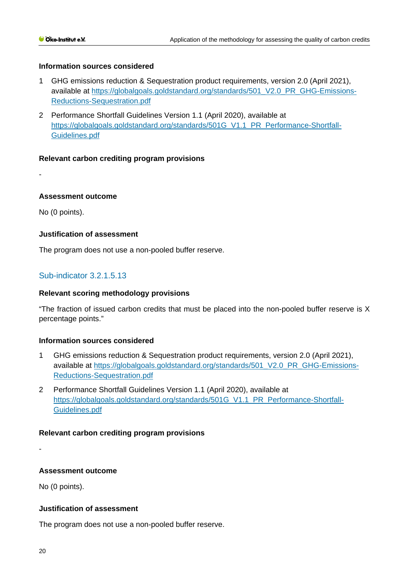# **Information sources considered**

- 1 GHG emissions reduction & Sequestration product requirements, version 2.0 (April 2021), available at [https://globalgoals.goldstandard.org/standards/501\\_V2.0\\_PR\\_GHG-Emissions-](https://globalgoals.goldstandard.org/standards/501_V2.0_PR_GHG-Emissions-Reductions-Sequestration.pdf)[Reductions-Sequestration.pdf](https://globalgoals.goldstandard.org/standards/501_V2.0_PR_GHG-Emissions-Reductions-Sequestration.pdf)
- 2 Performance Shortfall Guidelines Version 1.1 (April 2020), available at [https://globalgoals.goldstandard.org/standards/501G\\_V1.1\\_PR\\_Performance-Shortfall-](https://globalgoals.goldstandard.org/standards/501G_V1.1_PR_Performance-Shortfall-Guidelines.pdf)[Guidelines.pdf](https://globalgoals.goldstandard.org/standards/501G_V1.1_PR_Performance-Shortfall-Guidelines.pdf)

#### **Relevant carbon crediting program provisions**

#### **Assessment outcome**

No (0 points).

-

#### **Justification of assessment**

The program does not use a non-pooled buffer reserve.

# Sub-indicator 3.2.1.5.13

#### **Relevant scoring methodology provisions**

"The fraction of issued carbon credits that must be placed into the non-pooled buffer reserve is X percentage points."

#### **Information sources considered**

- 1 GHG emissions reduction & Sequestration product requirements, version 2.0 (April 2021), available at [https://globalgoals.goldstandard.org/standards/501\\_V2.0\\_PR\\_GHG-Emissions-](https://globalgoals.goldstandard.org/standards/501_V2.0_PR_GHG-Emissions-Reductions-Sequestration.pdf)[Reductions-Sequestration.pdf](https://globalgoals.goldstandard.org/standards/501_V2.0_PR_GHG-Emissions-Reductions-Sequestration.pdf)
- 2 Performance Shortfall Guidelines Version 1.1 (April 2020), available at [https://globalgoals.goldstandard.org/standards/501G\\_V1.1\\_PR\\_Performance-Shortfall-](https://globalgoals.goldstandard.org/standards/501G_V1.1_PR_Performance-Shortfall-Guidelines.pdf)[Guidelines.pdf](https://globalgoals.goldstandard.org/standards/501G_V1.1_PR_Performance-Shortfall-Guidelines.pdf)

#### **Relevant carbon crediting program provisions**

-

#### **Assessment outcome**

No (0 points).

#### **Justification of assessment**

The program does not use a non-pooled buffer reserve.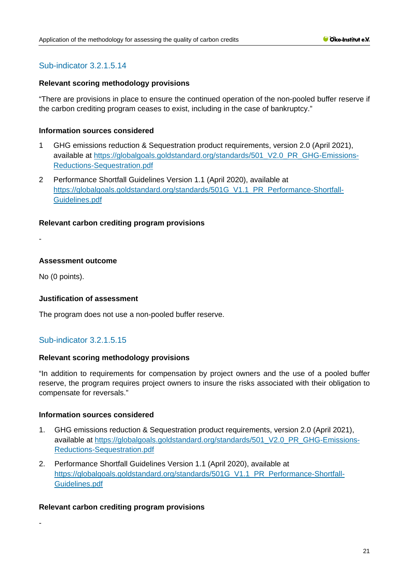# Sub-indicator 3.2.1.5.14

## **Relevant scoring methodology provisions**

"There are provisions in place to ensure the continued operation of the non-pooled buffer reserve if the carbon crediting program ceases to exist, including in the case of bankruptcy."

#### **Information sources considered**

- 1 GHG emissions reduction & Sequestration product requirements, version 2.0 (April 2021), available at [https://globalgoals.goldstandard.org/standards/501\\_V2.0\\_PR\\_GHG-Emissions-](https://globalgoals.goldstandard.org/standards/501_V2.0_PR_GHG-Emissions-Reductions-Sequestration.pdf)[Reductions-Sequestration.pdf](https://globalgoals.goldstandard.org/standards/501_V2.0_PR_GHG-Emissions-Reductions-Sequestration.pdf)
- 2 Performance Shortfall Guidelines Version 1.1 (April 2020), available at [https://globalgoals.goldstandard.org/standards/501G\\_V1.1\\_PR\\_Performance-Shortfall-](https://globalgoals.goldstandard.org/standards/501G_V1.1_PR_Performance-Shortfall-Guidelines.pdf)[Guidelines.pdf](https://globalgoals.goldstandard.org/standards/501G_V1.1_PR_Performance-Shortfall-Guidelines.pdf)

# **Relevant carbon crediting program provisions**

-

-

# **Assessment outcome**

No (0 points).

# **Justification of assessment**

The program does not use a non-pooled buffer reserve.

# Sub-indicator 3.2.1.5.15

#### **Relevant scoring methodology provisions**

"In addition to requirements for compensation by project owners and the use of a pooled buffer reserve, the program requires project owners to insure the risks associated with their obligation to compensate for reversals."

#### **Information sources considered**

- 1. GHG emissions reduction & Sequestration product requirements, version 2.0 (April 2021), available at [https://globalgoals.goldstandard.org/standards/501\\_V2.0\\_PR\\_GHG-Emissions-](https://globalgoals.goldstandard.org/standards/501_V2.0_PR_GHG-Emissions-Reductions-Sequestration.pdf)[Reductions-Sequestration.pdf](https://globalgoals.goldstandard.org/standards/501_V2.0_PR_GHG-Emissions-Reductions-Sequestration.pdf)
- 2. Performance Shortfall Guidelines Version 1.1 (April 2020), available at [https://globalgoals.goldstandard.org/standards/501G\\_V1.1\\_PR\\_Performance-Shortfall-](https://globalgoals.goldstandard.org/standards/501G_V1.1_PR_Performance-Shortfall-Guidelines.pdf)[Guidelines.pdf](https://globalgoals.goldstandard.org/standards/501G_V1.1_PR_Performance-Shortfall-Guidelines.pdf)

# **Relevant carbon crediting program provisions**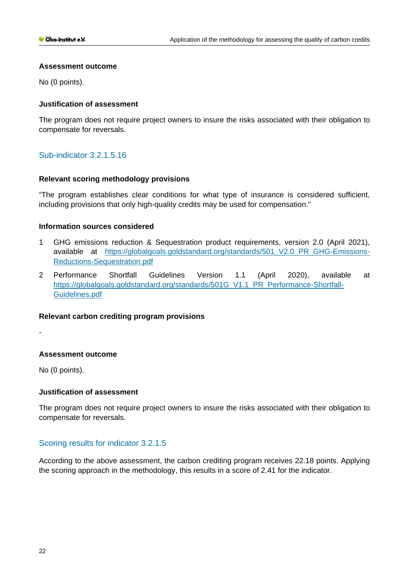#### **Assessment outcome**

No (0 points).

# **Justification of assessment**

The program does not require project owners to insure the risks associated with their obligation to compensate for reversals.

# Sub-indicator 3.2.1.5.16

# **Relevant scoring methodology provisions**

"The program establishes clear conditions for what type of insurance is considered sufficient, including provisions that only high-quality credits may be used for compensation."

# **Information sources considered**

- 1 GHG emissions reduction & Sequestration product requirements, version 2.0 (April 2021), available at https://globalgoals.goldstandard.org/standards/501 V2.0 PR GHG-Emissions-[Reductions-Sequestration.pdf](https://globalgoals.goldstandard.org/standards/501_V2.0_PR_GHG-Emissions-Reductions-Sequestration.pdf)
- 2 Performance Shortfall Guidelines Version 1.1 (April 2020), available at [https://globalgoals.goldstandard.org/standards/501G\\_V1.1\\_PR\\_Performance-Shortfall-](https://globalgoals.goldstandard.org/standards/501G_V1.1_PR_Performance-Shortfall-Guidelines.pdf)[Guidelines.pdf](https://globalgoals.goldstandard.org/standards/501G_V1.1_PR_Performance-Shortfall-Guidelines.pdf)

# **Relevant carbon crediting program provisions**

-

# **Assessment outcome**

No (0 points).

# **Justification of assessment**

The program does not require project owners to insure the risks associated with their obligation to compensate for reversals.

# Scoring results for indicator 3.2.1.5

According to the above assessment, the carbon crediting program receives 22.18 points. Applying the scoring approach in the methodology, this results in a score of 2.41 for the indicator.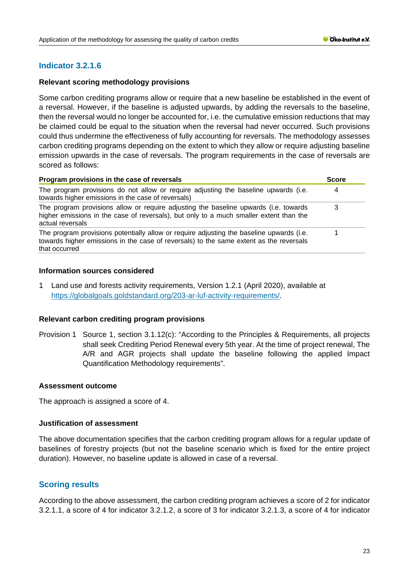# **Indicator 3.2.1.6**

# **Relevant scoring methodology provisions**

Some carbon crediting programs allow or require that a new baseline be established in the event of a reversal. However, if the baseline is adjusted upwards, by adding the reversals to the baseline, then the reversal would no longer be accounted for, i.e. the cumulative emission reductions that may be claimed could be equal to the situation when the reversal had never occurred. Such provisions could thus undermine the effectiveness of fully accounting for reversals. The methodology assesses carbon crediting programs depending on the extent to which they allow or require adjusting baseline emission upwards in the case of reversals. The program requirements in the case of reversals are scored as follows:

| Program provisions in the case of reversals                                                                                                                                                         |   |
|-----------------------------------------------------------------------------------------------------------------------------------------------------------------------------------------------------|---|
| The program provisions do not allow or require adjusting the baseline upwards (i.e.<br>towards higher emissions in the case of reversals)                                                           | 4 |
| The program provisions allow or require adjusting the baseline upwards (i.e. towards<br>higher emissions in the case of reversals), but only to a much smaller extent than the<br>actual reversals  |   |
| The program provisions potentially allow or require adjusting the baseline upwards (i.e.<br>towards higher emissions in the case of reversals) to the same extent as the reversals<br>that occurred |   |

#### **Information sources considered**

1 Land use and forests activity requirements, Version 1.2.1 (April 2020), available at [https://globalgoals.goldstandard.org/203-ar-luf-activity-requirements/.](https://globalgoals.goldstandard.org/203-ar-luf-activity-requirements/)

# **Relevant carbon crediting program provisions**

Provision 1 Source 1, section 3.1.12(c): "According to the Principles & Requirements, all projects shall seek Crediting Period Renewal every 5th year. At the time of project renewal, The A/R and AGR projects shall update the baseline following the applied Impact Quantification Methodology requirements".

#### **Assessment outcome**

The approach is assigned a score of 4.

#### **Justification of assessment**

The above documentation specifies that the carbon crediting program allows for a regular update of baselines of forestry projects (but not the baseline scenario which is fixed for the entire project duration). However, no baseline update is allowed in case of a reversal.

# **Scoring results**

According to the above assessment, the carbon crediting program achieves a score of 2 for indicator 3.2.1.1, a score of 4 for indicator 3.2.1.2, a score of 3 for indicator 3.2.1.3, a score of 4 for indicator